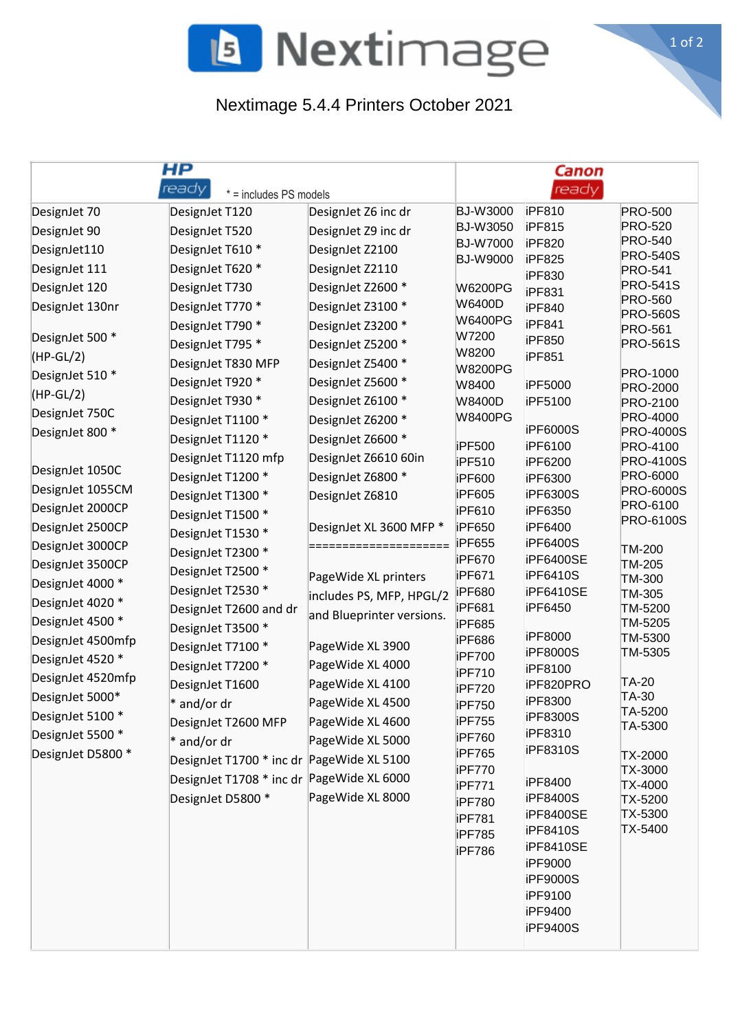

Nextimage 5.4.4 Printers October 2021

| HP<br>ready<br>$* =$ includes PS models |                                           |                           | Canon<br>ready    |                       |                                   |
|-----------------------------------------|-------------------------------------------|---------------------------|-------------------|-----------------------|-----------------------------------|
| DesignJet 70                            | DesignJet T120                            | DesignJet Z6 inc dr       | <b>BJ-W3000</b>   | <b>iPF810</b>         | <b>PRO-500</b>                    |
| DesignJet 90                            | DesignJet T520                            | DesignJet Z9 inc dr       | <b>BJ-W3050</b>   | iPF815                | <b>PRO-520</b><br><b>PRO-540</b>  |
| DesignJet110                            | DesignJet T610 *                          | DesignJet Z2100           | <b>BJ-W7000</b>   | iPF820                | <b>PRO-540S</b>                   |
| DesignJet 111                           | DesignJet T620 *                          | DesignJet Z2110           | <b>BJ-W9000</b>   | iPF825<br>iPF830      | <b>PRO-541</b>                    |
| DesignJet 120                           | DesignJet T730                            | DesignJet Z2600 *         | W6200PG           | <b>iPF831</b>         | <b>PRO-541S</b>                   |
| DesignJet 130nr                         | DesignJet T770 *                          | DesignJet Z3100 *         | W6400D            | iPF840                | <b>PRO-560</b>                    |
|                                         | DesignJet T790 *                          | DesignJet Z3200 *         | <b>W6400PG</b>    | iPF841                | <b>PRO-560S</b><br><b>PRO-561</b> |
| DesignJet 500 *                         | DesignJet T795 *                          | DesignJet Z5200 *         | W7200             | iPF850                | <b>PRO-561S</b>                   |
| $(HP-GL/2)$                             | DesignJet T830 MFP                        | DesignJet Z5400 *         | W8200             | iPF851                |                                   |
| DesignJet 510 *                         | DesignJet T920 *                          | DesignJet Z5600 *         | <b>W8200PG</b>    |                       | PRO-1000                          |
| (HP-GL/2)                               |                                           | DesignJet Z6100 *         | W8400             | iPF5000               | PRO-2000                          |
| DesignJet 750C                          | DesignJet T930 *                          |                           | W8400D<br>W8400PG | iPF5100               | PRO-2100<br>PRO-4000              |
| DesignJet 800 *                         | DesignJet T1100 *                         | DesignJet Z6200 *         |                   | iPF6000S              | <b>PRO-4000S</b>                  |
|                                         | DesignJet T1120 *                         | DesignJet Z6600 *         | iPF500            | iPF6100               | PRO-4100                          |
| DesignJet 1050C                         | DesignJet T1120 mfp                       | DesignJet Z6610 60in      | iPF510            | iPF6200               | <b>PRO-4100S</b>                  |
| DesignJet 1055CM                        | DesignJet T1200 *                         | DesignJet Z6800 *         | iPF600            | iPF6300               | PRO-6000                          |
|                                         | DesignJet T1300 *                         | DesignJet Z6810           | iPF605            | iPF6300S              | <b>PRO-6000S</b><br>PRO-6100      |
| DesignJet 2000CP                        | DesignJet T1500 *                         |                           | iPF610            | iPF6350               | PRO-6100S                         |
| DesignJet 2500CP                        | DesignJet T1530 *                         | DesignJet XL 3600 MFP *   | iPF650<br>iPF655  | iPF6400<br>iPF6400S   |                                   |
| DesignJet 3000CP                        | DesignJet T2300 *                         | ====================      | iPF670            | iPF6400SE             | TM-200                            |
| DesignJet 3500CP                        | DesignJet T2500 *                         | PageWide XL printers      | iPF671            | iPF6410S              | TM-205<br>TM-300                  |
| DesignJet 4000 *                        | DesignJet T2530 *                         | includes PS, MFP, HPGL/2  | iPF680            | iPF6410SE             | TM-305                            |
| DesignJet 4020 *                        | DesignJet T2600 and dr                    | and Blueprinter versions. | iPF681            | iPF6450               | TM-5200                           |
| DesignJet 4500 *                        | DesignJet T3500 *                         |                           | iPF685            |                       | TM-5205                           |
| DesignJet 4500mfp                       | DesignJet T7100 *                         | PageWide XL 3900          | iPF686            | iPF8000               | TM-5300                           |
| DesignJet 4520 *                        | DesignJet T7200 *                         | PageWide XL 4000          | iPF700            | iPF8000S<br>iPF8100   | TM-5305                           |
| DesignJet 4520mfp                       | DesignJet T1600                           | PageWide XL 4100          | iPF710            | iPF820PRO             | TA-20                             |
| DesignJet 5000*                         | * and/or dr                               | PageWide XL 4500          | iPF720<br>iPF750  | iPF8300               | TA-30                             |
| DesignJet 5100 *                        | DesignJet T2600 MFP                       | PageWide XL 4600          | iPF755            | iPF8300S              | TA-5200                           |
| DesignJet 5500 *                        | * and/or dr                               | PageWide XL 5000          | iPF760            | iPF8310               | TA-5300                           |
| DesignJet D5800 *                       |                                           |                           | iPF765            | iPF8310S              | TX-2000                           |
|                                         | DesignJet T1700 * inc dr PageWide XL 5100 |                           | iPF770            |                       | TX-3000                           |
|                                         | DesignJet T1708 * inc dr PageWide XL 6000 |                           | iPF771            | iPF8400               | TX-4000                           |
|                                         | DesignJet D5800 *                         | PageWide XL 8000          | iPF780            | iPF8400S              | TX-5200                           |
|                                         |                                           |                           | iPF781            | iPF8400SE<br>iPF8410S | TX-5300<br>TX-5400                |
|                                         |                                           |                           | <b>iPF785</b>     | iPF8410SE             |                                   |
|                                         |                                           |                           | iPF786            | iPF9000               |                                   |
|                                         |                                           |                           |                   | iPF9000S              |                                   |
|                                         |                                           |                           |                   | iPF9100               |                                   |
|                                         |                                           |                           |                   | iPF9400               |                                   |
|                                         |                                           |                           |                   | iPF9400S              |                                   |
|                                         |                                           |                           |                   |                       |                                   |

1 of 2